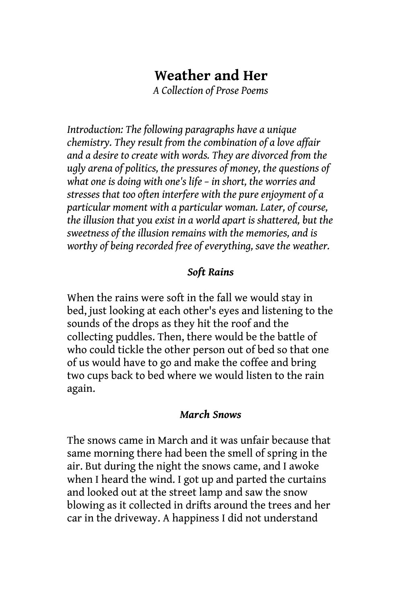# **Weather and Her**

*A Collection of Prose Poems*

*Introduction: The following paragraphs have a unique chemistry. They result from the combination of a love affair and a desire to create with words. They are divorced from the ugly arena of politics, the pressures of money, the questions of what one is doing with one's life – in short, the worries and stresses that too often interfere with the pure enjoyment of a particular moment with a particular woman. Later, of course, the illusion that you exist in a world apart is shattered, but the sweetness of the illusion remains with the memories, and is worthy of being recorded free of everything, save the weather.*

#### *Soft Rains*

When the rains were soft in the fall we would stay in bed, just looking at each other's eyes and listening to the sounds of the drops as they hit the roof and the collecting puddles. Then, there would be the battle of who could tickle the other person out of bed so that one of us would have to go and make the coffee and bring two cups back to bed where we would listen to the rain again.

#### *March Snows*

The snows came in March and it was unfair because that same morning there had been the smell of spring in the air. But during the night the snows came, and I awoke when I heard the wind. I got up and parted the curtains and looked out at the street lamp and saw the snow blowing as it collected in drifts around the trees and her car in the driveway. A happiness I did not understand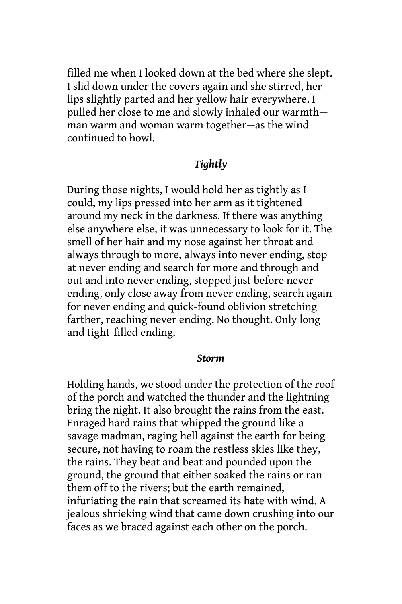filled me when I looked down at the bed where she slept. I slid down under the covers again and she stirred, her lips slightly parted and her yellow hair everywhere. I pulled her close to me and slowly inhaled our warmth man warm and woman warm together—as the wind continued to howl.

### *Tightly*

During those nights, I would hold her as tightly as I could, my lips pressed into her arm as it tightened around my neck in the darkness. If there was anything else anywhere else, it was unnecessary to look for it. The smell of her hair and my nose against her throat and always through to more, always into never ending, stop at never ending and search for more and through and out and into never ending, stopped just before never ending, only close away from never ending, search again for never ending and quick-found oblivion stretching farther, reaching never ending. No thought. Only long and tight-filled ending.

#### *Storm*

Holding hands, we stood under the protection of the roof of the porch and watched the thunder and the lightning bring the night. It also brought the rains from the east. Enraged hard rains that whipped the ground like a savage madman, raging hell against the earth for being secure, not having to roam the restless skies like they, the rains. They beat and beat and pounded upon the ground, the ground that either soaked the rains or ran them off to the rivers; but the earth remained, infuriating the rain that screamed its hate with wind. A jealous shrieking wind that came down crushing into our faces as we braced against each other on the porch.